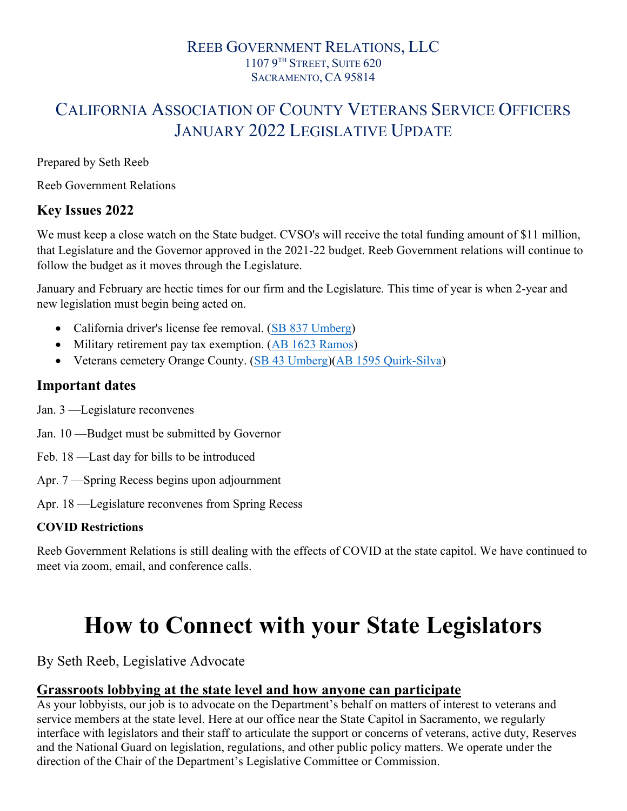### REEB GOVERNMENT RELATIONS, LLC 1107 9 TH STREET, SUITE 620 SACRAMENTO, CA 95814

# CALIFORNIA ASSOCIATION OF COUNTY VETERANS SERVICE OFFICERS JANUARY 2022 LEGISLATIVE UPDATE

Prepared by Seth Reeb

Reeb Government Relations

# Key Issues 2022

We must keep a close watch on the State budget. CVSO's will receive the total funding amount of \$11 million, that Legislature and the Governor approved in the 2021-22 budget. Reeb Government relations will continue to follow the budget as it moves through the Legislature.

January and February are hectic times for our firm and the Legislature. This time of year is when 2-year and new legislation must begin being acted on.

- California driver's license fee removal. (SB 837 Umberg)
- Military retirement pay tax exemption. (AB 1623 Ramos)
- Veterans cemetery Orange County. (SB 43 Umberg)(AB 1595 Quirk-Silva)

# Important dates

- Jan. 3 —Legislature reconvenes
- Jan. 10 —Budget must be submitted by Governor
- Feb. 18 —Last day for bills to be introduced
- Apr. 7 —Spring Recess begins upon adjournment
- Apr. 18 —Legislature reconvenes from Spring Recess

#### COVID Restrictions

Reeb Government Relations is still dealing with the effects of COVID at the state capitol. We have continued to meet via zoom, email, and conference calls.

# How to Connect with your State Legislators

By Seth Reeb, Legislative Advocate

#### Grassroots lobbying at the state level and how anyone can participate

As your lobbyists, our job is to advocate on the Department's behalf on matters of interest to veterans and service members at the state level. Here at our office near the State Capitol in Sacramento, we regularly interface with legislators and their staff to articulate the support or concerns of veterans, active duty, Reserves and the National Guard on legislation, regulations, and other public policy matters. We operate under the direction of the Chair of the Department's Legislative Committee or Commission.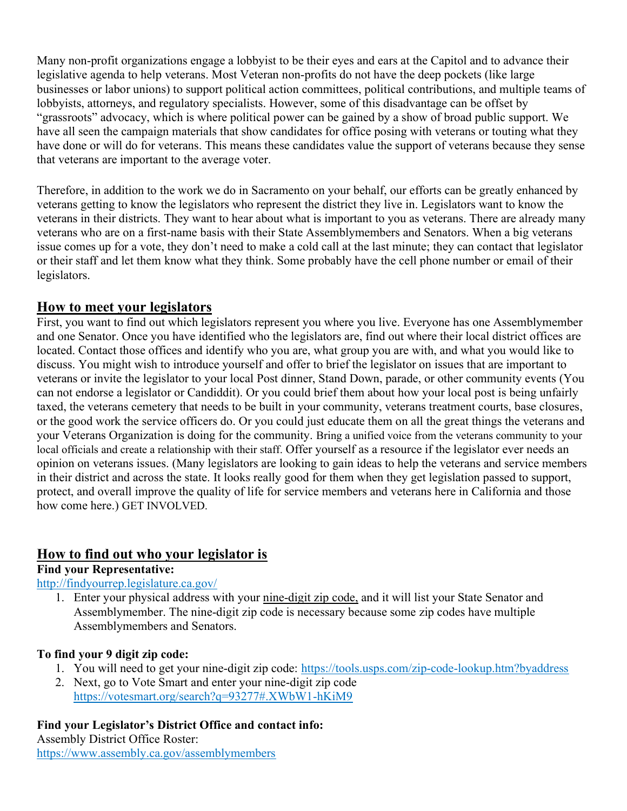Many non-profit organizations engage a lobbyist to be their eyes and ears at the Capitol and to advance their legislative agenda to help veterans. Most Veteran non-profits do not have the deep pockets (like large businesses or labor unions) to support political action committees, political contributions, and multiple teams of lobbyists, attorneys, and regulatory specialists. However, some of this disadvantage can be offset by "grassroots" advocacy, which is where political power can be gained by a show of broad public support. We have all seen the campaign materials that show candidates for office posing with veterans or touting what they have done or will do for veterans. This means these candidates value the support of veterans because they sense that veterans are important to the average voter.

Therefore, in addition to the work we do in Sacramento on your behalf, our efforts can be greatly enhanced by veterans getting to know the legislators who represent the district they live in. Legislators want to know the veterans in their districts. They want to hear about what is important to you as veterans. There are already many veterans who are on a first-name basis with their State Assemblymembers and Senators. When a big veterans issue comes up for a vote, they don't need to make a cold call at the last minute; they can contact that legislator or their staff and let them know what they think. Some probably have the cell phone number or email of their legislators.

## How to meet your legislators

First, you want to find out which legislators represent you where you live. Everyone has one Assemblymember and one Senator. Once you have identified who the legislators are, find out where their local district offices are located. Contact those offices and identify who you are, what group you are with, and what you would like to discuss. You might wish to introduce yourself and offer to brief the legislator on issues that are important to veterans or invite the legislator to your local Post dinner, Stand Down, parade, or other community events (You can not endorse a legislator or Candiddit). Or you could brief them about how your local post is being unfairly taxed, the veterans cemetery that needs to be built in your community, veterans treatment courts, base closures, or the good work the service officers do. Or you could just educate them on all the great things the veterans and your Veterans Organization is doing for the community. Bring a unified voice from the veterans community to your local officials and create a relationship with their staff. Offer yourself as a resource if the legislator ever needs an opinion on veterans issues. (Many legislators are looking to gain ideas to help the veterans and service members in their district and across the state. It looks really good for them when they get legislation passed to support, protect, and overall improve the quality of life for service members and veterans here in California and those how come here.) GET INVOLVED.

# How to find out who your legislator is

#### Find your Representative:

#### http://findyourrep.legislature.ca.gov/

1. Enter your physical address with your nine-digit zip code, and it will list your State Senator and Assemblymember. The nine-digit zip code is necessary because some zip codes have multiple Assemblymembers and Senators.

#### To find your 9 digit zip code:

- 1. You will need to get your nine-digit zip code: https://tools.usps.com/zip-code-lookup.htm?byaddress
- 2. Next, go to Vote Smart and enter your nine-digit zip code https://votesmart.org/search?q=93277#.XWbW1-hKiM9

#### Find your Legislator's District Office and contact info:

Assembly District Office Roster: https://www.assembly.ca.gov/assemblymembers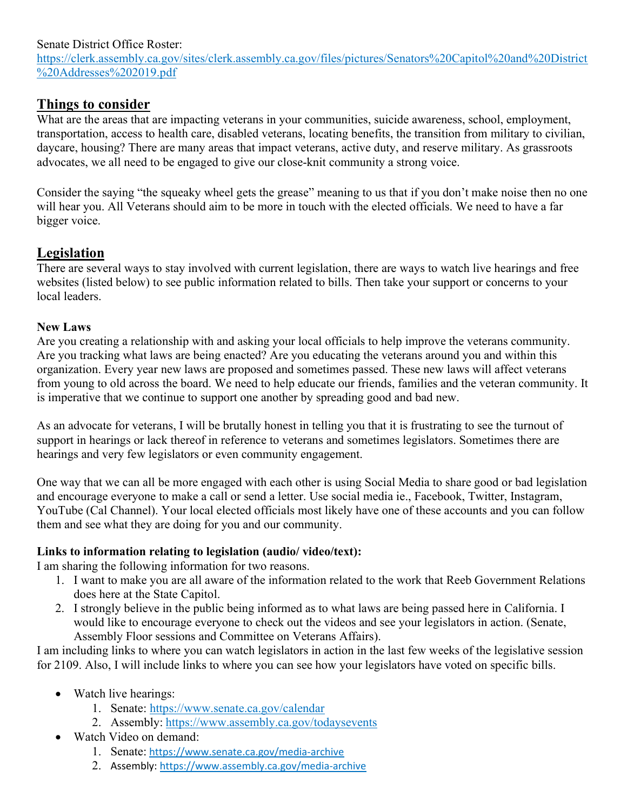#### Senate District Office Roster:

https://clerk.assembly.ca.gov/sites/clerk.assembly.ca.gov/files/pictures/Senators%20Capitol%20and%20District %20Addresses%202019.pdf

# Things to consider

What are the areas that are impacting veterans in your communities, suicide awareness, school, employment, transportation, access to health care, disabled veterans, locating benefits, the transition from military to civilian, daycare, housing? There are many areas that impact veterans, active duty, and reserve military. As grassroots advocates, we all need to be engaged to give our close-knit community a strong voice.

Consider the saying "the squeaky wheel gets the grease" meaning to us that if you don't make noise then no one will hear you. All Veterans should aim to be more in touch with the elected officials. We need to have a far bigger voice.

# Legislation

There are several ways to stay involved with current legislation, there are ways to watch live hearings and free websites (listed below) to see public information related to bills. Then take your support or concerns to your local leaders.

#### New Laws

Are you creating a relationship with and asking your local officials to help improve the veterans community. Are you tracking what laws are being enacted? Are you educating the veterans around you and within this organization. Every year new laws are proposed and sometimes passed. These new laws will affect veterans from young to old across the board. We need to help educate our friends, families and the veteran community. It is imperative that we continue to support one another by spreading good and bad new.

As an advocate for veterans, I will be brutally honest in telling you that it is frustrating to see the turnout of support in hearings or lack thereof in reference to veterans and sometimes legislators. Sometimes there are hearings and very few legislators or even community engagement.

One way that we can all be more engaged with each other is using Social Media to share good or bad legislation and encourage everyone to make a call or send a letter. Use social media ie., Facebook, Twitter, Instagram, YouTube (Cal Channel). Your local elected officials most likely have one of these accounts and you can follow them and see what they are doing for you and our community.

#### Links to information relating to legislation (audio/ video/text):

I am sharing the following information for two reasons.

- 1. I want to make you are all aware of the information related to the work that Reeb Government Relations does here at the State Capitol.
- 2. I strongly believe in the public being informed as to what laws are being passed here in California. I would like to encourage everyone to check out the videos and see your legislators in action. (Senate, Assembly Floor sessions and Committee on Veterans Affairs).

I am including links to where you can watch legislators in action in the last few weeks of the legislative session for 2109. Also, I will include links to where you can see how your legislators have voted on specific bills.

- Watch live hearings:
	- 1. Senate: https://www.senate.ca.gov/calendar
	- 2. Assembly: https://www.assembly.ca.gov/todaysevents
- Watch Video on demand:
	- 1. Senate: https://www.senate.ca.gov/media-archive
	- 2. Assembly: https://www.assembly.ca.gov/media-archive